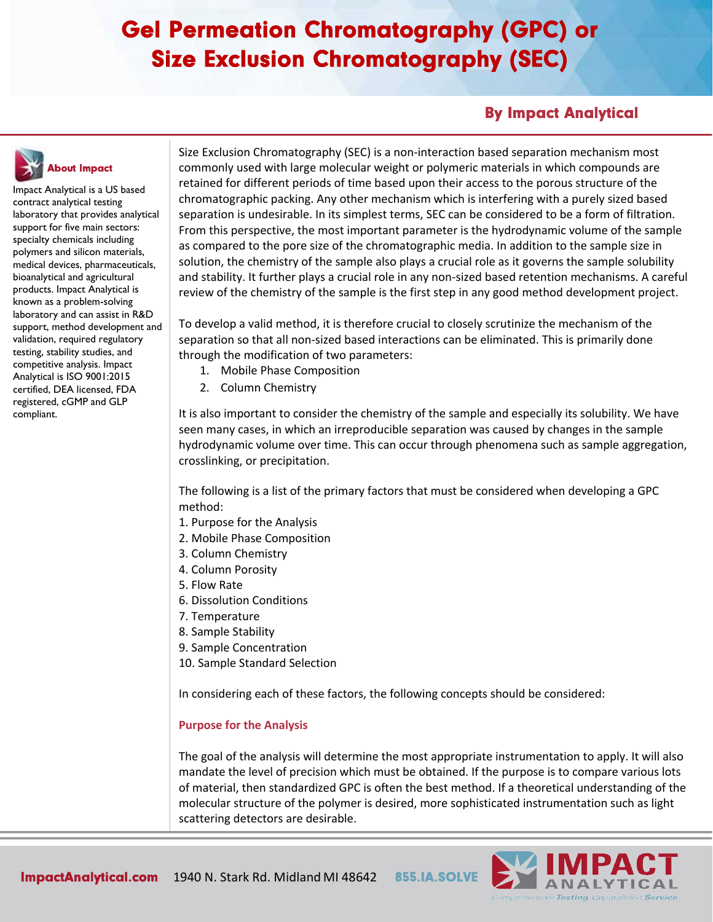### By Impact Analytical



Impact Analytical is a US based contract analytical testing laboratory that provides analytical support for five main sectors: specialty chemicals including polymers and silicon materials, medical devices, pharmaceuticals, bioanalytical and agricultural products. Impact Analytical is known as a problem-solving laboratory and can assist in R&D support, method development and validation, required regulatory testing, stability studies, and competitive analysis. Impact Analytical is ISO 9001:2015 certified, DEA licensed, FDA registered, cGMP and GLP compliant.

Size Exclusion Chromatography (SEC) is a non-interaction based separation mechanism most commonly used with large molecular weight or polymeric materials in which compounds are retained for different periods of time based upon their access to the porous structure of the chromatographic packing. Any other mechanism which is interfering with a purely sized based separation is undesirable. In its simplest terms, SEC can be considered to be a form of filtration. From this perspective, the most important parameter is the hydrodynamic volume of the sample as compared to the pore size of the chromatographic media. In addition to the sample size in solution, the chemistry of the sample also plays a crucial role as it governs the sample solubility and stability. It further plays a crucial role in any non-sized based retention mechanisms. A careful review of the chemistry of the sample is the first step in any good method development project.

To develop a valid method, it is therefore crucial to closely scrutinize the mechanism of the separation so that all non-sized based interactions can be eliminated. This is primarily done through the modification of two parameters:

- 1. Mobile Phase Composition
- 2. Column Chemistry

It is also important to consider the chemistry of the sample and especially its solubility. We have seen many cases, in which an irreproducible separation was caused by changes in the sample hydrodynamic volume over time. This can occur through phenomena such as sample aggregation, crosslinking, or precipitation.

The following is a list of the primary factors that must be considered when developing a GPC method:

- 1. Purpose for the Analysis
- 2. Mobile Phase Composition
- 3. Column Chemistry
- 4. Column Porosity
- 5. Flow Rate
- 6. Dissolution Conditions
- 7. Temperature
- 8. Sample Stability
- 9. Sample Concentration
- 10. Sample Standard Selection

In considering each of these factors, the following concepts should be considered:

#### **Purpose for the Analysis**

The goal of the analysis will determine the most appropriate instrumentation to apply. It will also mandate the level of precision which must be obtained. If the purpose is to compare various lots of material, then standardized GPC is often the best method. If a theoretical understanding of the molecular structure of the polymer is desired, more sophisticated instrumentation such as light scattering detectors are desirable.

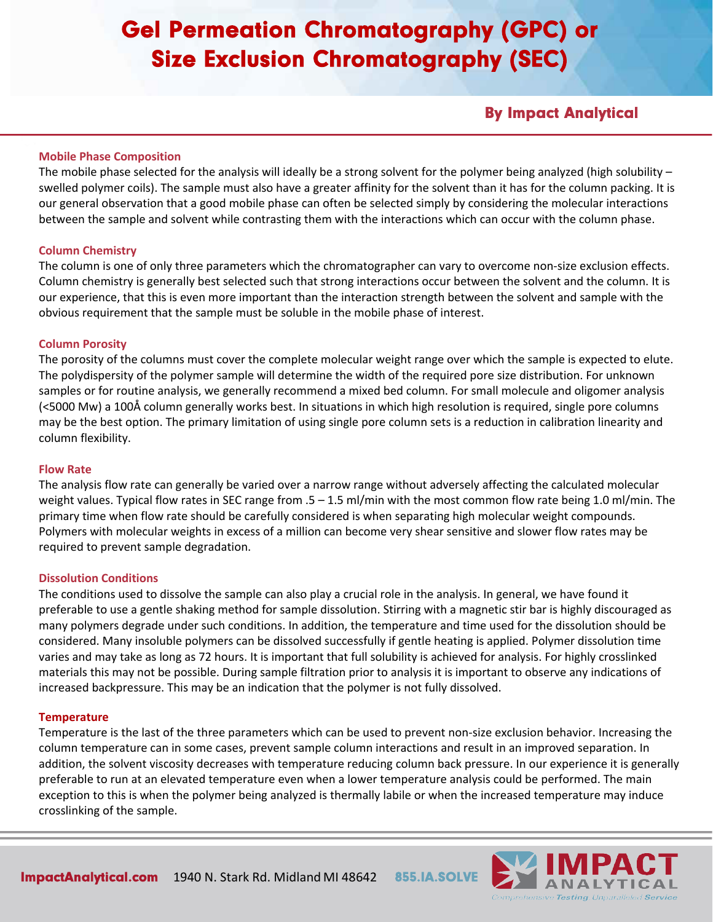### By Impact Analytical

#### **Mobile Phase Composition**

The mobile phase selected for the analysis will ideally be a strong solvent for the polymer being analyzed (high solubility  $$ swelled polymer coils). The sample must also have a greater affinity for the solvent than it has for the column packing. It is our general observation that a good mobile phase can often be selected simply by considering the molecular interactions between the sample and solvent while contrasting them with the interactions which can occur with the column phase.

#### **Column Chemistry**

The column is one of only three parameters which the chromatographer can vary to overcome non-size exclusion effects. Column chemistry is generally best selected such that strong interactions occur between the solvent and the column. It is our experience, that this is even more important than the interaction strength between the solvent and sample with the obvious requirement that the sample must be soluble in the mobile phase of interest.

#### **Column Porosity**

The porosity of the columns must cover the complete molecular weight range over which the sample is expected to elute. The polydispersity of the polymer sample will determine the width of the required pore size distribution. For unknown samples or for routine analysis, we generally recommend a mixed bed column. For small molecule and oligomer analysis (<5000 Mw) a 100Å column generally works best. In situations in which high resolution is required, single pore columns may be the best option. The primary limitation of using single pore column sets is a reduction in calibration linearity and column flexibility.

#### **Flow Rate**

The analysis flow rate can generally be varied over a narrow range without adversely affecting the calculated molecular weight values. Typical flow rates in SEC range from  $.5 - 1.5$  ml/min with the most common flow rate being 1.0 ml/min. The primary time when flow rate should be carefully considered is when separating high molecular weight compounds. Polymers with molecular weights in excess of a million can become very shear sensitive and slower flow rates may be required to prevent sample degradation.

#### **Dissolution Conditions**

The conditions used to dissolve the sample can also play a crucial role in the analysis. In general, we have found it preferable to use a gentle shaking method for sample dissolution. Stirring with a magnetic stir bar is highly discouraged as many polymers degrade under such conditions. In addition, the temperature and time used for the dissolution should be considered. Many insoluble polymers can be dissolved successfully if gentle heating is applied. Polymer dissolution time varies and may take as long as 72 hours. It is important that full solubility is achieved for analysis. For highly crosslinked materials this may not be possible. During sample filtration prior to analysis it is important to observe any indications of increased backpressure. This may be an indication that the polymer is not fully dissolved.

#### **Temperature**

Temperature is the last of the three parameters which can be used to prevent non-size exclusion behavior. Increasing the column temperature can in some cases, prevent sample column interactions and result in an improved separation. In addition, the solvent viscosity decreases with temperature reducing column back pressure. In our experience it is generally preferable to run at an elevated temperature even when a lower temperature analysis could be performed. The main exception to this is when the polymer being analyzed is thermally labile or when the increased temperature may induce crosslinking of the sample.

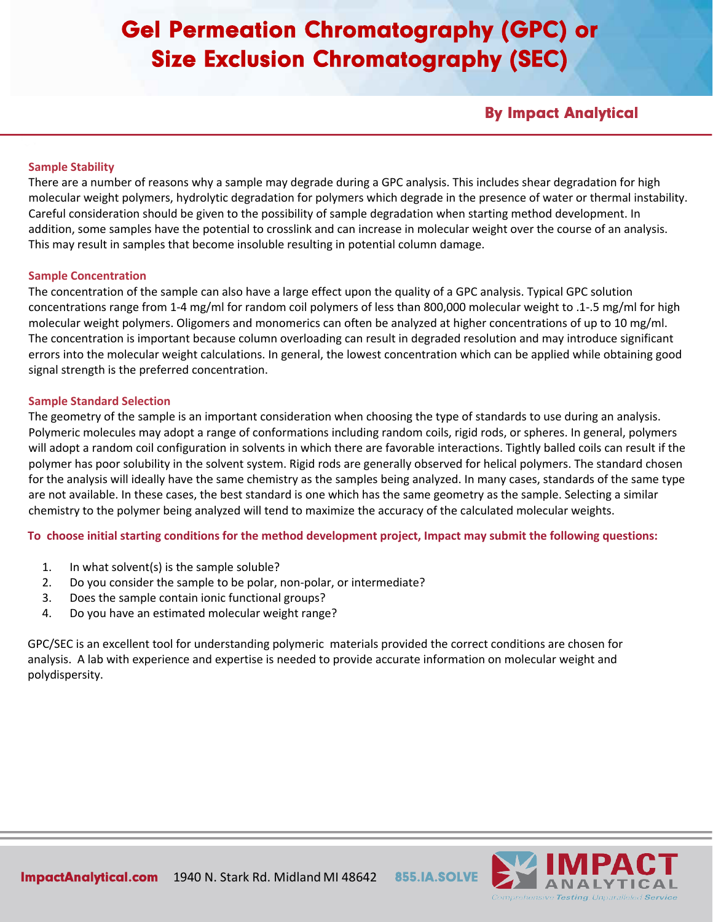By Impact Analytical

### **Sample Stability**

There are a number of reasons why a sample may degrade during a GPC analysis. This includes shear degradation for high molecular weight polymers, hydrolytic degradation for polymers which degrade in the presence of water or thermal instability. Careful consideration should be given to the possibility of sample degradation when starting method development. In addition, some samples have the potential to crosslink and can increase in molecular weight over the course of an analysis. This may result in samples that become insoluble resulting in potential column damage.

#### **Sample Concentration**

The concentration of the sample can also have a large effect upon the quality of a GPC analysis. Typical GPC solution concentrations range from 1-4 mg/ml for random coil polymers of less than 800,000 molecular weight to .1-.5 mg/ml for high molecular weight polymers. Oligomers and monomerics can often be analyzed at higher concentrations of up to 10 mg/ml. The concentration is important because column overloading can result in degraded resolution and may introduce significant errors into the molecular weight calculations. In general, the lowest concentration which can be applied while obtaining good signal strength is the preferred concentration.

#### **Sample Standard Selection**

The geometry of the sample is an important consideration when choosing the type of standards to use during an analysis. Polymeric molecules may adopt a range of conformations including random coils, rigid rods, or spheres. In general, polymers will adopt a random coil configuration in solvents in which there are favorable interactions. Tightly balled coils can result if the polymer has poor solubility in the solvent system. Rigid rods are generally observed for helical polymers. The standard chosen for the analysis will ideally have the same chemistry as the samples being analyzed. In many cases, standards of the same type are not available. In these cases, the best standard is one which has the same geometry as the sample. Selecting a similar chemistry to the polymer being analyzed will tend to maximize the accuracy of the calculated molecular weights.

**To choose initial starting conditions for the method development project, Impact may submit the following questions:**

- 1. In what solvent(s) is the sample soluble?
- 2. Do you consider the sample to be polar, non-polar, or intermediate?
- 3. Does the sample contain ionic functional groups?
- 4. Do you have an estimated molecular weight range?

GPC/SEC is an excellent tool for understanding polymeric materials provided the correct conditions are chosen for analysis. A lab with experience and expertise is needed to provide accurate information on molecular weight and polydispersity.